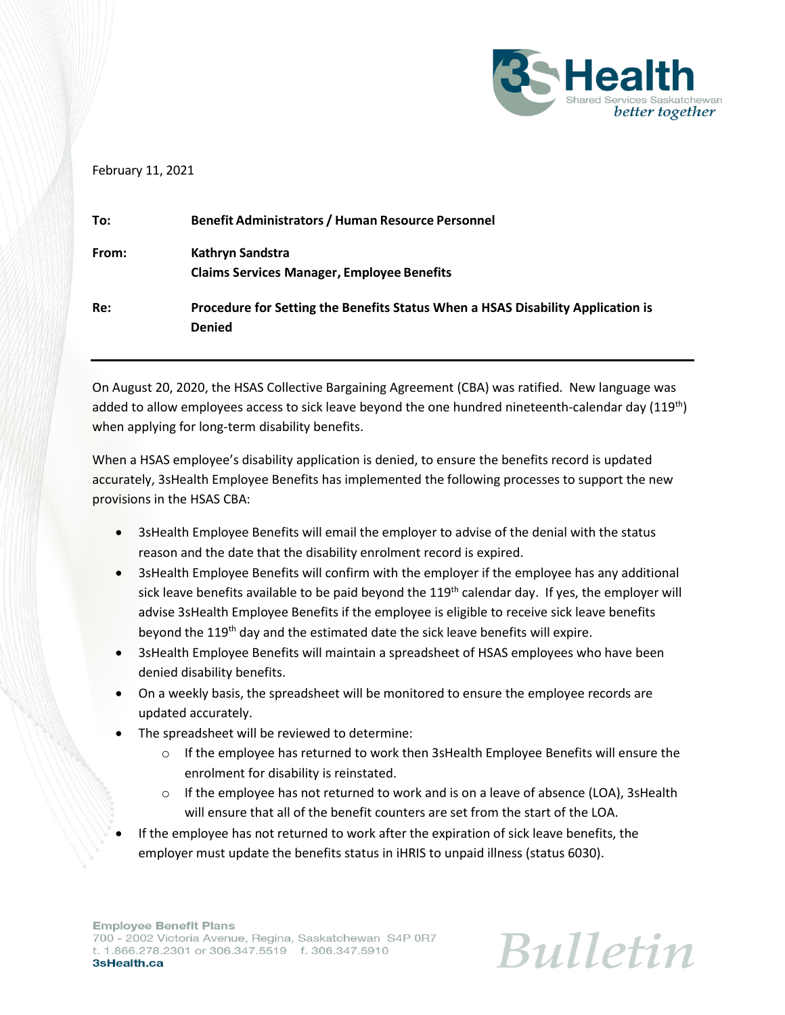

## February 11, 2021

| To:   | <b>Benefit Administrators / Human Resource Personnel</b>                                         |
|-------|--------------------------------------------------------------------------------------------------|
| From: | Kathryn Sandstra<br><b>Claims Services Manager, Employee Benefits</b>                            |
| Re:   | Procedure for Setting the Benefits Status When a HSAS Disability Application is<br><b>Denied</b> |

On August 20, 2020, the HSAS Collective Bargaining Agreement (CBA) was ratified. New language was added to allow employees access to sick leave beyond the one hundred nineteenth-calendar day (119<sup>th</sup>) when applying for long-term disability benefits.

When a HSAS employee's disability application is denied, to ensure the benefits record is updated accurately, 3sHealth Employee Benefits has implemented the following processes to support the new provisions in the HSAS CBA:

- 3sHealth Employee Benefits will email the employer to advise of the denial with the status reason and the date that the disability enrolment record is expired.
- 3sHealth Employee Benefits will confirm with the employer if the employee has any additional sick leave benefits available to be paid beyond the 119<sup>th</sup> calendar day. If yes, the employer will advise 3sHealth Employee Benefits if the employee is eligible to receive sick leave benefits beyond the 119<sup>th</sup> day and the estimated date the sick leave benefits will expire.
- 3sHealth Employee Benefits will maintain a spreadsheet of HSAS employees who have been denied disability benefits.
- On a weekly basis, the spreadsheet will be monitored to ensure the employee records are updated accurately.
- The spreadsheet will be reviewed to determine:
	- $\circ$  If the employee has returned to work then 3sHealth Employee Benefits will ensure the enrolment for disability is reinstated.
	- $\circ$  If the employee has not returned to work and is on a leave of absence (LOA), 3sHealth will ensure that all of the benefit counters are set from the start of the LOA.
- If the employee has not returned to work after the expiration of sick leave benefits, the employer must update the benefits status in iHRIS to unpaid illness (status 6030).